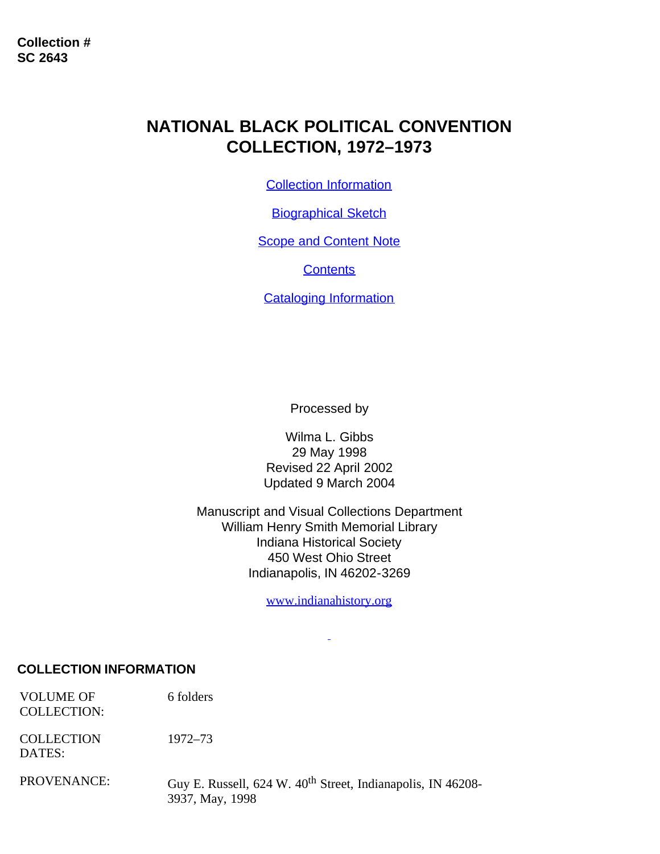# **NATIONAL BLACK POLITICAL CONVENTION COLLECTION, 1972–1973**

[Collection Information](#page-0-0)

[Biographical Sketch](#page-1-0)

**[Scope and Content Note](#page-2-0)** 

**[Contents](#page-2-1)** 

[Cataloging Information](#page-2-2)

Processed by

Wilma L. Gibbs 29 May 1998 Revised 22 April 2002 Updated 9 March 2004

Manuscript and Visual Collections Department William Henry Smith Memorial Library Indiana Historical Society 450 West Ohio Street Indianapolis, IN 46202-3269

[www.indianahistory.org](http://www.indianahistory.org/)

### <span id="page-0-0"></span>**COLLECTION INFORMATION**

VOLUME OF COLLECTION: 6 folders

**COLLECTION** DATES: 1972–73

PROVENANCE: Guy E. Russell, 624 W. 40<sup>th</sup> Street, Indianapolis, IN 46208-3937, May, 1998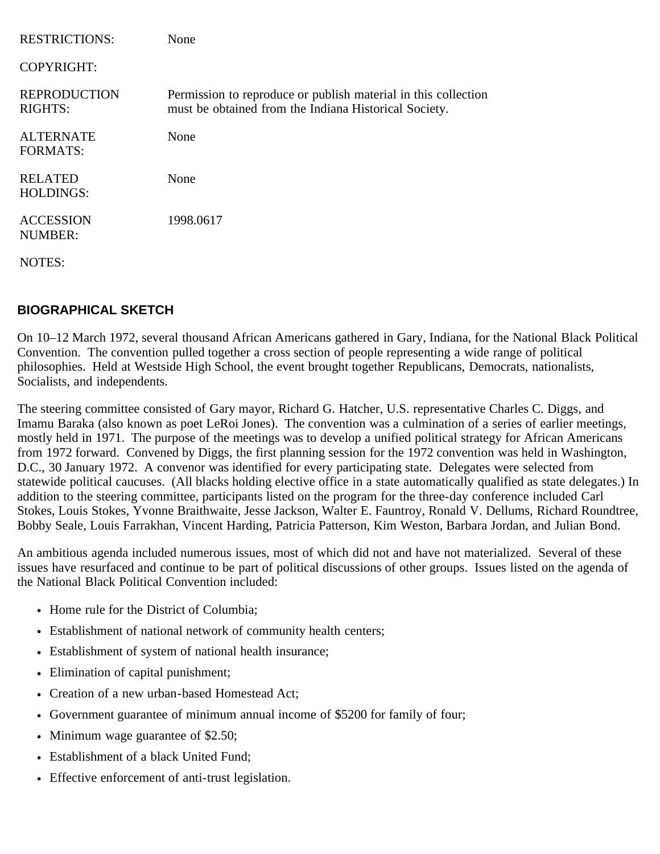| <b>RESTRICTIONS:</b>                  | None                                                                                                                    |
|---------------------------------------|-------------------------------------------------------------------------------------------------------------------------|
| <b>COPYRIGHT:</b>                     |                                                                                                                         |
| <b>REPRODUCTION</b><br><b>RIGHTS:</b> | Permission to reproduce or publish material in this collection<br>must be obtained from the Indiana Historical Society. |
| <b>ALTERNATE</b><br><b>FORMATS:</b>   | None                                                                                                                    |
| <b>RELATED</b><br><b>HOLDINGS:</b>    | None                                                                                                                    |
| <b>ACCESSION</b><br><b>NUMBER:</b>    | 1998.0617                                                                                                               |
| NOTES:                                |                                                                                                                         |

## <span id="page-1-0"></span>**BIOGRAPHICAL SKETCH**

On 10–12 March 1972, several thousand African Americans gathered in Gary, Indiana, for the National Black Political Convention. The convention pulled together a cross section of people representing a wide range of political philosophies. Held at Westside High School, the event brought together Republicans, Democrats, nationalists, Socialists, and independents.

The steering committee consisted of Gary mayor, Richard G. Hatcher, U.S. representative Charles C. Diggs, and Imamu Baraka (also known as poet LeRoi Jones). The convention was a culmination of a series of earlier meetings, mostly held in 1971. The purpose of the meetings was to develop a unified political strategy for African Americans from 1972 forward. Convened by Diggs, the first planning session for the 1972 convention was held in Washington, D.C., 30 January 1972. A convenor was identified for every participating state. Delegates were selected from statewide political caucuses. (All blacks holding elective office in a state automatically qualified as state delegates.) In addition to the steering committee, participants listed on the program for the three-day conference included Carl Stokes, Louis Stokes, Yvonne Braithwaite, Jesse Jackson, Walter E. Fauntroy, Ronald V. Dellums, Richard Roundtree, Bobby Seale, Louis Farrakhan, Vincent Harding, Patricia Patterson, Kim Weston, Barbara Jordan, and Julian Bond.

An ambitious agenda included numerous issues, most of which did not and have not materialized. Several of these issues have resurfaced and continue to be part of political discussions of other groups. Issues listed on the agenda of the National Black Political Convention included:

- Home rule for the District of Columbia;
- Establishment of national network of community health centers;
- Establishment of system of national health insurance;
- Elimination of capital punishment;
- Creation of a new urban-based Homestead Act;
- Government guarantee of minimum annual income of \$5200 for family of four;
- Minimum wage guarantee of \$2.50;
- Establishment of a black United Fund;
- Effective enforcement of anti-trust legislation.